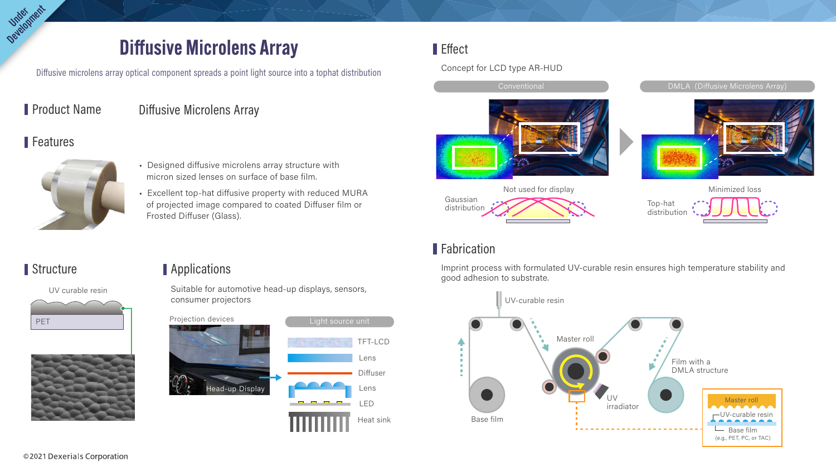# **Diffusive Microlens Array**

Diffusive microlens array optical component spreads a point light source into a tophat distribution

## Product Name

#### **Diffusive Microlens Array**

#### Features

Oevelopment



- Designed diffusive microlens array structure with micron sized lenses on surface of base film.
- Excellent top-hat diffusive property with reduced MURA of projected image compared to coated Diffuser film or Frosted Diffuser (Glass).

#### Structure

PET UV curable resin

#### Applications

Suitable for automotive head-up displays, sensors, consumer projectors



## Effect

#### Concept for LCD type AR-HUD



#### Fabrication

Imprint process with formulated UV-curable resin ensures high temperature stability and good adhesion to substrate.

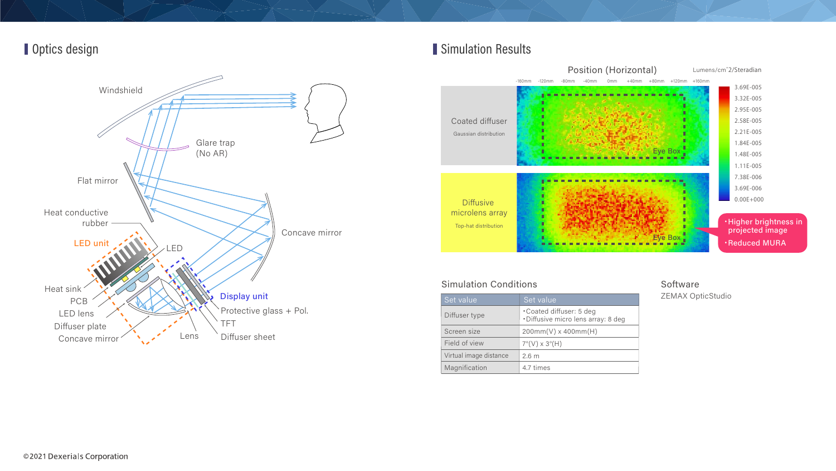



## Simulation Results



#### **Simulation Conditions**

| Set value              | Set value                                                       |  |
|------------------------|-----------------------------------------------------------------|--|
| Diffuser type          | • Coated diffuser: 5 deg<br>• Diffusive micro lens array: 8 deg |  |
| Screen size            | $200mm(V) \times 400mm(H)$                                      |  |
| Field of view          | $7^{\circ}$ (V) x 3 $^{\circ}$ (H)                              |  |
| Virtual image distance | 2.6 <sub>m</sub>                                                |  |
| Magnification          | 4.7 times                                                       |  |

Software ZEMAX OpticStudio

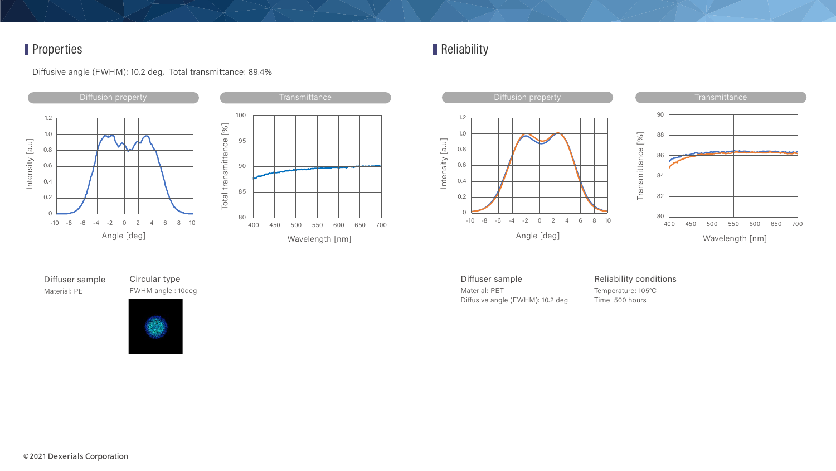#### Properties

Diffusive angle (FWHM): 10.2 deg, Total transmittance: 89.4%





Diffuser sample Material: PET

**Circular type** FWHM angle: 10deg



## Reliability





#### Diffuser sample

Material: PET Diffusive angle (FWHM): 10.2 deg

#### **Reliability conditions**

Temperature: 105°C Time: 500 hours